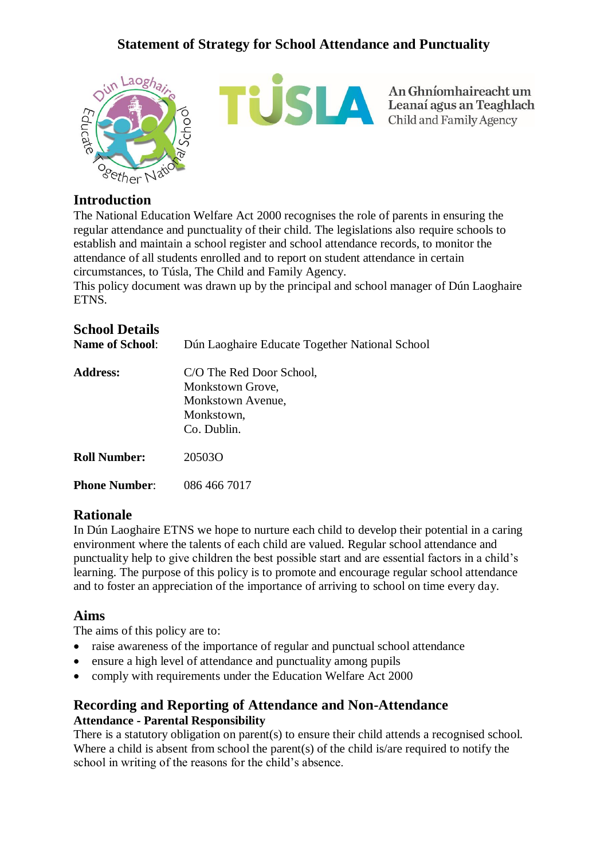

An Ghníomhaireacht um<br>Leanaí agus an Teaghlach<br>Child and Family Agency

### **Introduction**

The National Education Welfare Act 2000 recognises the role of parents in ensuring the regular attendance and punctuality of their child. The legislations also require schools to establish and maintain a school register and school attendance records, to monitor the attendance of all students enrolled and to report on student attendance in certain circumstances, to Túsla, The Child and Family Agency.

This policy document was drawn up by the principal and school manager of Dún Laoghaire ETNS.

## **School Details**

| <b>Name of School:</b> | Dún Laoghaire Educate Together National School                                                 |
|------------------------|------------------------------------------------------------------------------------------------|
| <b>Address:</b>        | C/O The Red Door School,<br>Monkstown Grove,<br>Monkstown Avenue,<br>Monkstown,<br>Co. Dublin. |
| <b>Roll Number:</b>    | 20503O                                                                                         |
| <b>Phone Number:</b>   | 086 466 7017                                                                                   |

### **Rationale**

In Dún Laoghaire ETNS we hope to nurture each child to develop their potential in a caring environment where the talents of each child are valued. Regular school attendance and punctuality help to give children the best possible start and are essential factors in a child's learning. The purpose of this policy is to promote and encourage regular school attendance and to foster an appreciation of the importance of arriving to school on time every day.

### **Aims**

The aims of this policy are to:

- raise awareness of the importance of regular and punctual school attendance
- ensure a high level of attendance and punctuality among pupils
- comply with requirements under the Education Welfare Act 2000

### **Recording and Reporting of Attendance and Non-Attendance Attendance - Parental Responsibility**

There is a statutory obligation on parent(s) to ensure their child attends a recognised school. Where a child is absent from school the parent(s) of the child is/are required to notify the school in writing of the reasons for the child's absence.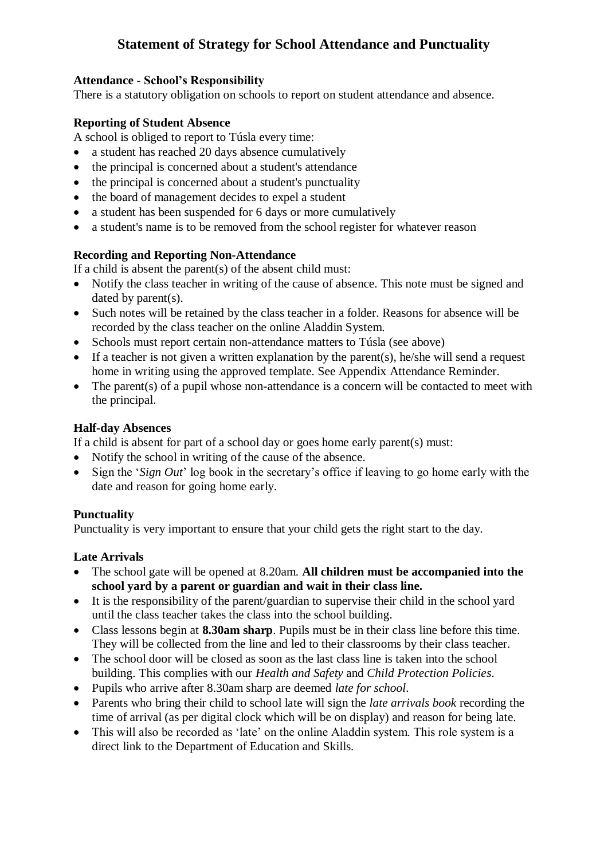#### **Attendance - School's Responsibility**

There is a statutory obligation on schools to report on student attendance and absence.

#### **Reporting of Student Absence**

A school is obliged to report to Túsla every time:

- a student has reached 20 days absence cumulatively
- the principal is concerned about a student's attendance
- the principal is concerned about a student's punctuality
- the board of management decides to expel a student
- a student has been suspended for 6 days or more cumulatively
- a student's name is to be removed from the school register for whatever reason

#### **Recording and Reporting Non-Attendance**

If a child is absent the parent(s) of the absent child must:

- Notify the class teacher in writing of the cause of absence. This note must be signed and dated by parent(s).
- Such notes will be retained by the class teacher in a folder. Reasons for absence will be recorded by the class teacher on the online Aladdin System.
- Schools must report certain non-attendance matters to Túsla (see above)
- If a teacher is not given a written explanation by the parent(s), he/she will send a request home in writing using the approved template. See Appendix Attendance Reminder.
- The parent(s) of a pupil whose non-attendance is a concern will be contacted to meet with the principal.

#### **Half-day Absences**

If a child is absent for part of a school day or goes home early parent(s) must:

- Notify the school in writing of the cause of the absence.
- Sign the '*Sign Out*' log book in the secretary's office if leaving to go home early with the date and reason for going home early.

### **Punctuality**

Punctuality is very important to ensure that your child gets the right start to the day.

### **Late Arrivals**

- The school gate will be opened at 8.20am. **All children must be accompanied into the school yard by a parent or guardian and wait in their class line.**
- It is the responsibility of the parent/guardian to supervise their child in the school yard until the class teacher takes the class into the school building.
- Class lessons begin at **8.30am sharp**. Pupils must be in their class line before this time. They will be collected from the line and led to their classrooms by their class teacher.
- The school door will be closed as soon as the last class line is taken into the school building. This complies with our *Health and Safety* and *Child Protection Policies*.
- Pupils who arrive after 8.30am sharp are deemed *late for school*.
- Parents who bring their child to school late will sign the *late arrivals book* recording the time of arrival (as per digital clock which will be on display) and reason for being late.
- This will also be recorded as 'late' on the online Aladdin system. This role system is a direct link to the Department of Education and Skills.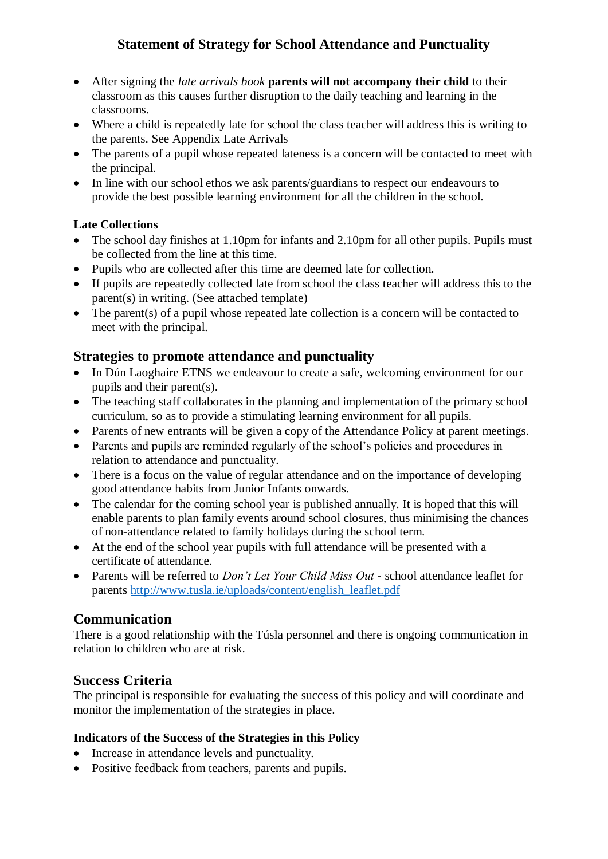- After signing the *late arrivals book* **parents will not accompany their child** to their classroom as this causes further disruption to the daily teaching and learning in the classrooms.
- Where a child is repeatedly late for school the class teacher will address this is writing to the parents. See Appendix Late Arrivals
- The parents of a pupil whose repeated lateness is a concern will be contacted to meet with the principal.
- In line with our school ethos we ask parents/guardians to respect our endeavours to provide the best possible learning environment for all the children in the school.

### **Late Collections**

- The school day finishes at 1.10pm for infants and 2.10pm for all other pupils. Pupils must be collected from the line at this time.
- Pupils who are collected after this time are deemed late for collection.
- If pupils are repeatedly collected late from school the class teacher will address this to the parent(s) in writing. (See attached template)
- The parent(s) of a pupil whose repeated late collection is a concern will be contacted to meet with the principal.

## **Strategies to promote attendance and punctuality**

- In Dún Laoghaire ETNS we endeavour to create a safe, welcoming environment for our pupils and their parent(s).
- The teaching staff collaborates in the planning and implementation of the primary school curriculum, so as to provide a stimulating learning environment for all pupils.
- Parents of new entrants will be given a copy of the Attendance Policy at parent meetings.
- Parents and pupils are reminded regularly of the school's policies and procedures in relation to attendance and punctuality.
- There is a focus on the value of regular attendance and on the importance of developing good attendance habits from Junior Infants onwards.
- The calendar for the coming school year is published annually. It is hoped that this will enable parents to plan family events around school closures, thus minimising the chances of non-attendance related to family holidays during the school term.
- At the end of the school year pupils with full attendance will be presented with a certificate of attendance.
- Parents will be referred to *Don't Let Your Child Miss Out* school attendance leaflet for parents [http://www.tusla.ie/uploads/content/english\\_leaflet.pdf](http://www.tusla.ie/uploads/content/english_leaflet.pdf)

## **Communication**

There is a good relationship with the Túsla personnel and there is ongoing communication in relation to children who are at risk.

## **Success Criteria**

The principal is responsible for evaluating the success of this policy and will coordinate and monitor the implementation of the strategies in place.

### **Indicators of the Success of the Strategies in this Policy**

- Increase in attendance levels and punctuality.
- Positive feedback from teachers, parents and pupils.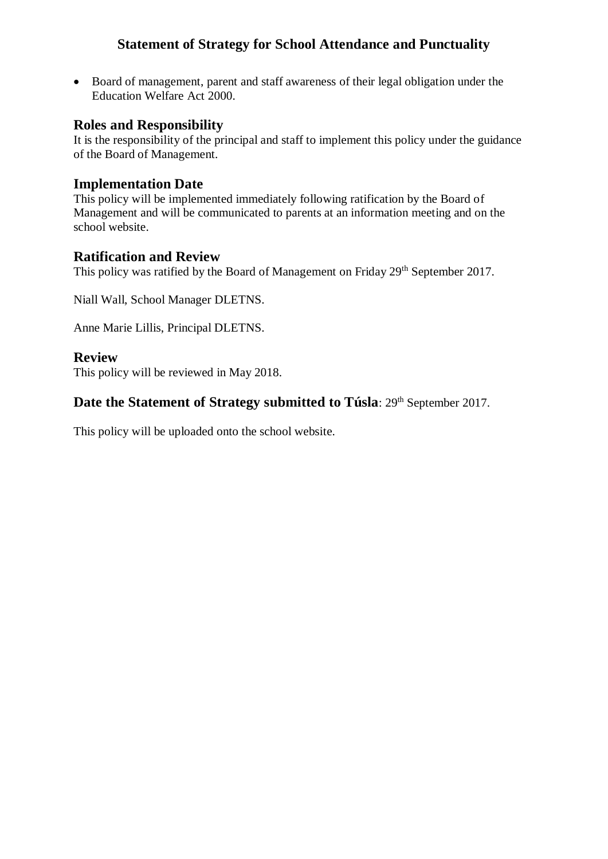• Board of management, parent and staff awareness of their legal obligation under the Education Welfare Act 2000.

### **Roles and Responsibility**

It is the responsibility of the principal and staff to implement this policy under the guidance of the Board of Management.

### **Implementation Date**

This policy will be implemented immediately following ratification by the Board of Management and will be communicated to parents at an information meeting and on the school website.

### **Ratification and Review**

This policy was ratified by the Board of Management on Friday 29<sup>th</sup> September 2017.

Niall Wall, School Manager DLETNS.

Anne Marie Lillis, Principal DLETNS.

### **Review**

This policy will be reviewed in May 2018.

## **Date the Statement of Strategy submitted to Túsla**: 29<sup>th</sup> September 2017.

This policy will be uploaded onto the school website.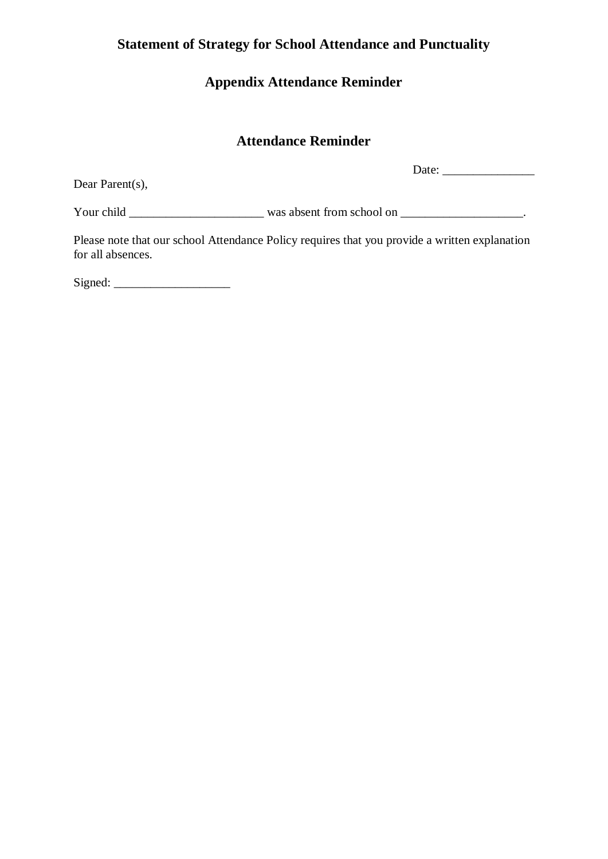# **Appendix Attendance Reminder**

# **Attendance Reminder**

Dear Parent(s),

Date: \_\_\_\_\_\_\_\_\_\_\_\_\_\_\_

Your child \_\_\_\_\_\_\_\_\_\_\_\_\_\_\_\_\_\_\_\_\_\_ was absent from school on \_\_\_\_\_\_\_\_\_\_\_\_\_\_\_\_\_\_\_\_.

Please note that our school Attendance Policy requires that you provide a written explanation for all absences.

Signed: \_\_\_\_\_\_\_\_\_\_\_\_\_\_\_\_\_\_\_